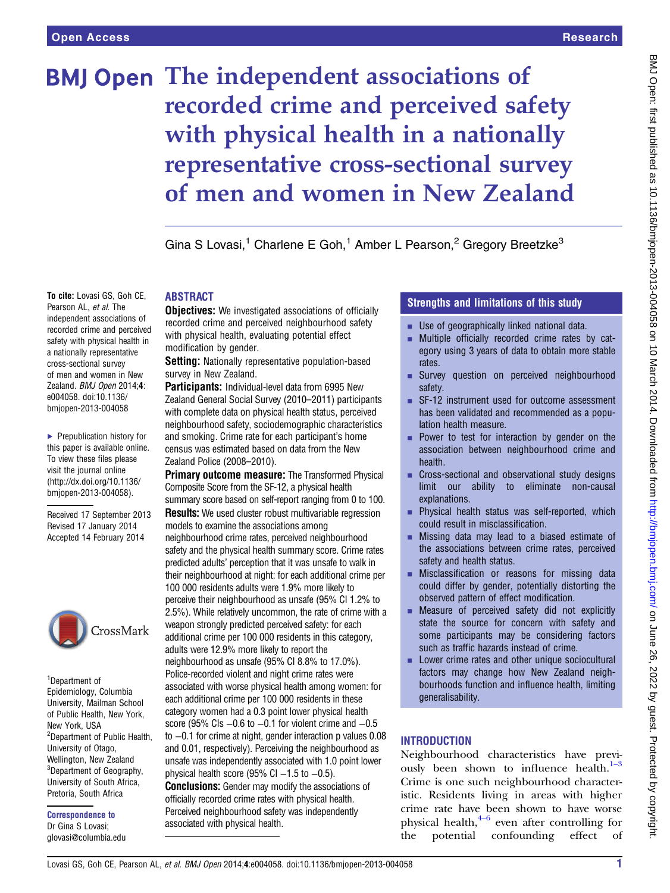# **BMJ Open The independent associations of** recorded crime and perceived safety with physical health in a nationally representative cross-sectional survey of men and women in New Zealand

Gina S Lovasi,<sup>1</sup> Charlene E Goh,<sup>1</sup> Amber L Pearson,<sup>2</sup> Gregory Breetzke<sup>3</sup>

To cite: Lovasi GS, Goh CE, Pearson AL, et al. The independent associations of recorded crime and perceived safety with physical health in a nationally representative cross-sectional survey of men and women in New Zealand. BMJ Open 2014;4: e004058. doi:10.1136/ bmjopen-2013-004058

▶ Prepublication history for this paper is available online. To view these files please visit the journal online [\(http://dx.doi.org/10.1136/](http://dx.doi.org/10.1136/bmjopen-2013-004058) [bmjopen-2013-004058](http://dx.doi.org/10.1136/bmjopen-2013-004058)).

Received 17 September 2013 Revised 17 January 2014 Accepted 14 February 2014



1 Department of Epidemiology, Columbia University, Mailman School of Public Health, New York, New York, USA <sup>2</sup>Department of Public Health, University of Otago, Wellington, New Zealand <sup>3</sup>Department of Geography, University of South Africa, Pretoria, South Africa

Correspondence to Dr Gina S Lovasi; glovasi@columbia.edu

# ABSTRACT

**Objectives:** We investigated associations of officially recorded crime and perceived neighbourhood safety with physical health, evaluating potential effect modification by gender.

Setting: Nationally representative population-based survey in New Zealand.

Participants: Individual-level data from 6995 New Zealand General Social Survey (2010–2011) participants with complete data on physical health status, perceived neighbourhood safety, sociodemographic characteristics and smoking. Crime rate for each participant's home census was estimated based on data from the New Zealand Police (2008–2010).

**Primary outcome measure:** The Transformed Physical Composite Score from the SF-12, a physical health summary score based on self-report ranging from 0 to 100. **Results:** We used cluster robust multivariable regression models to examine the associations among neighbourhood crime rates, perceived neighbourhood safety and the physical health summary score. Crime rates predicted adults' perception that it was unsafe to walk in their neighbourhood at night: for each additional crime per 100 000 residents adults were 1.9% more likely to perceive their neighbourhood as unsafe (95% CI 1.2% to 2.5%). While relatively uncommon, the rate of crime with a weapon strongly predicted perceived safety: for each additional crime per 100 000 residents in this category, adults were 12.9% more likely to report the neighbourhood as unsafe (95% CI 8.8% to 17.0%). Police-recorded violent and night crime rates were associated with worse physical health among women: for each additional crime per 100 000 residents in these category women had a 0.3 point lower physical health score (95% CIs –0.6 to –0.1 for violent crime and –0.5 to −0.1 for crime at night, gender interaction p values 0.08 and 0.01, respectively). Perceiving the neighbourhood as unsafe was independently associated with 1.0 point lower physical health score (95% CI  $-1.5$  to  $-0.5$ ). **Conclusions:** Gender may modify the associations of officially recorded crime rates with physical health. Perceived neighbourhood safety was independently associated with physical health.

# Strengths and limitations of this study

- $\blacksquare$  Use of geographically linked national data.
- **EXECUTE:** Multiple officially recorded crime rates by category using 3 years of data to obtain more stable rates.
- **EXECUTE:** Survey question on perceived neighbourhood safety.
- SF-12 instrument used for outcome assessment has been validated and recommended as a population health measure.
- $\blacksquare$  Power to test for interaction by gender on the association between neighbourhood crime and health.
- **EX Cross-sectional and observational study designs** limit our ability to eliminate non-causal explanations.
- $\blacksquare$  Physical health status was self-reported, which could result in misclassification.
- $\blacksquare$  Missing data may lead to a biased estimate of the associations between crime rates, perceived safety and health status.
- $\blacksquare$  Misclassification or reasons for missing data could differ by gender, potentially distorting the observed pattern of effect modification.
- Measure of perceived safety did not explicitly state the source for concern with safety and some participants may be considering factors such as traffic hazards instead of crime.
- Lower crime rates and other unique sociocultural factors may change how New Zealand neighbourhoods function and influence health, limiting generalisability.

# **INTRODUCTION**

Neighbourhood characteristics have pr[evi](#page-6-0)ously been shown to influence health. $1-3$ Crime is one such neighbourhood characteristic. Residents living in areas with higher crime rate hav[e b](#page-6-0)een shown to have worse physical health, $4-6$  even after controlling for the potential confounding effect of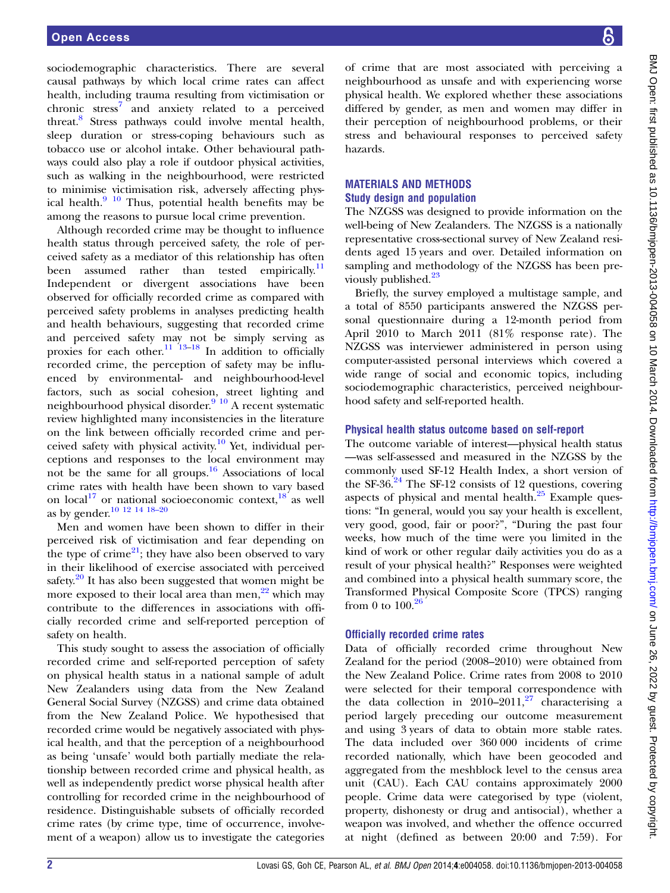sociodemographic characteristics. There are several causal pathways by which local crime rates can affect health, including trauma resulting from victimisation or chronic  $stress<sup>7</sup>$  and anxiety related to a perceived threat.[8](#page-6-0) Stress pathways could involve mental health, sleep duration or stress-coping behaviours such as tobacco use or alcohol intake. Other behavioural pathways could also play a role if outdoor physical activities, such as walking in the neighbourhood, were restricted to minimise victimisation risk, adversely affecting physical health.<sup>9</sup> <sup>10</sup> Thus, potential health benefits may be among the reasons to pursue local crime prevention.

Although recorded crime may be thought to influence health status through perceived safety, the role of perceived safety as a mediator of this relationship has often been assumed rather than tested empirically.<sup>[11](#page-6-0)</sup> Independent or divergent associations have been observed for officially recorded crime as compared with perceived safety problems in analyses predicting health and health behaviours, suggesting that recorded crime and perceived safety may not be simply serving as proxies for each other.<sup>[11 13](#page-6-0)–[18](#page-7-0)</sup> In addition to officially recorded crime, the perception of safety may be influenced by environmental- and neighbourhood-level factors, such as social cohesion, street lighting and neighbourhood physical disorder.<sup>[9 10](#page-6-0)</sup> A recent systematic review highlighted many inconsistencies in the literature on the link between officially recorded crime and per-ceived safety with physical activity.<sup>[10](#page-6-0)</sup> Yet, individual perceptions and responses to the local environment may not be the same for all groups.[16](#page-6-0) Associations of local crime rates with health have been shown to vary based on local<sup>[17](#page-6-0)</sup> or national socioeconomic context,  $18^{18}$  as well as by gender[.10 12 14](#page-6-0) [18](#page-7-0)–<sup>20</sup>

Men and women have been shown to differ in their perceived risk of victimisation and fear depending on the type of crime<sup>[21](#page-7-0)</sup>; they have also been observed to vary in their likelihood of exercise associated with perceived safety.<sup>[20](#page-7-0)</sup> It has also been suggested that women might be more exposed to their local area than men,<sup>[22](#page-7-0)</sup> which may contribute to the differences in associations with officially recorded crime and self-reported perception of safety on health.

This study sought to assess the association of officially recorded crime and self-reported perception of safety on physical health status in a national sample of adult New Zealanders using data from the New Zealand General Social Survey (NZGSS) and crime data obtained from the New Zealand Police. We hypothesised that recorded crime would be negatively associated with physical health, and that the perception of a neighbourhood as being 'unsafe' would both partially mediate the relationship between recorded crime and physical health, as well as independently predict worse physical health after controlling for recorded crime in the neighbourhood of residence. Distinguishable subsets of officially recorded crime rates (by crime type, time of occurrence, involvement of a weapon) allow us to investigate the categories of crime that are most associated with perceiving a neighbourhood as unsafe and with experiencing worse physical health. We explored whether these associations differed by gender, as men and women may differ in their perception of neighbourhood problems, or their stress and behavioural responses to perceived safety hazards.

#### MATERIALS AND METHODS Study design and population

The NZGSS was designed to provide information on the well-being of New Zealanders. The NZGSS is a nationally representative cross-sectional survey of New Zealand residents aged 15 years and over. Detailed information on sampling and methodology of the NZGSS has been pre-viously published.<sup>[23](#page-7-0)</sup>

Briefly, the survey employed a multistage sample, and a total of 8550 participants answered the NZGSS personal questionnaire during a 12-month period from April 2010 to March 2011 (81% response rate). The NZGSS was interviewer administered in person using computer-assisted personal interviews which covered a wide range of social and economic topics, including sociodemographic characteristics, perceived neighbourhood safety and self-reported health.

#### Physical health status outcome based on self-report

The outcome variable of interest—physical health status —was self-assessed and measured in the NZGSS by the commonly used SF-12 Health Index, a short version of the SF-36. $24$  The SF-12 consists of 12 questions, covering aspects of physical and mental health. $^{25}$  $^{25}$  $^{25}$  Example questions: "In general, would you say your health is excellent, very good, good, fair or poor?", "During the past four weeks, how much of the time were you limited in the kind of work or other regular daily activities you do as a result of your physical health?" Responses were weighted and combined into a physical health summary score, the Transformed Physical Composite Score (TPCS) ranging from 0 to  $100^{26}$  $100^{26}$  $100^{26}$ 

#### Officially recorded crime rates

Data of officially recorded crime throughout New Zealand for the period (2008–2010) were obtained from the New Zealand Police. Crime rates from 2008 to 2010 were selected for their temporal correspondence with the data collection in  $2010-2011$ ,<sup>[27](#page-7-0)</sup> characterising a period largely preceding our outcome measurement and using 3 years of data to obtain more stable rates. The data included over 360 000 incidents of crime recorded nationally, which have been geocoded and aggregated from the meshblock level to the census area unit (CAU). Each CAU contains approximately 2000 people. Crime data were categorised by type (violent, property, dishonesty or drug and antisocial), whether a weapon was involved, and whether the offence occurred at night (defined as between 20:00 and 7:59). For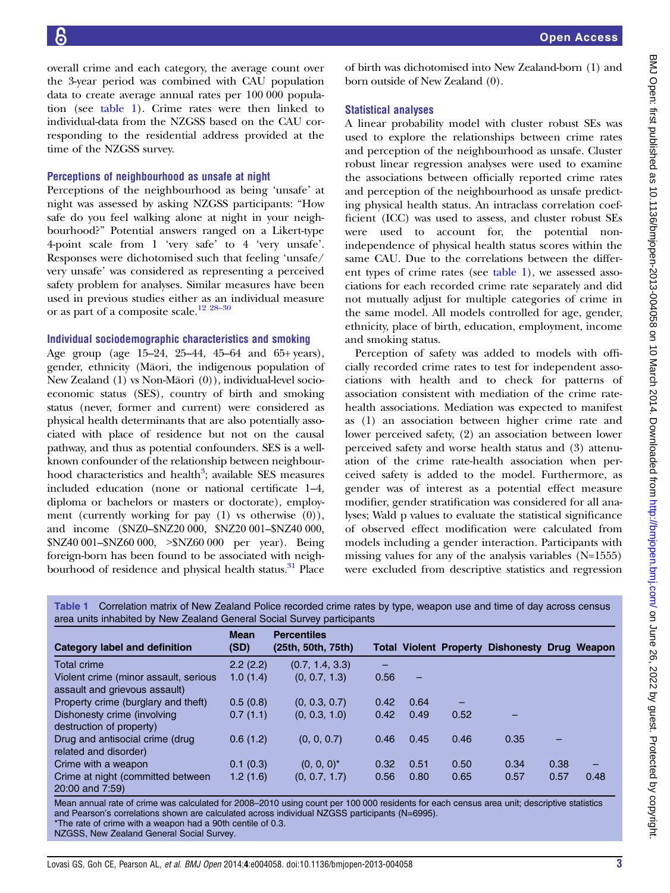overall crime and each category, the average count over the 3-year period was combined with CAU population data to create average annual rates per 100 000 population (see table 1). Crime rates were then linked to individual-data from the NZGSS based on the CAU corresponding to the residential address provided at the time of the NZGSS survey.

#### Perceptions of neighbourhood as unsafe at night

Perceptions of the neighbourhood as being 'unsafe' at night was assessed by asking NZGSS participants: "How safe do you feel walking alone at night in your neighbourhood?" Potential answers ranged on a Likert-type 4-point scale from 1 'very safe' to 4 'very unsafe'. Responses were dichotomised such that feeling 'unsafe/ very unsafe' was considered as representing a perceived safety problem for analyses. Similar measures have been used in previous studies either as an individual measure or as part of a composite scale.<sup>[12](#page-6-0) [28](#page-7-0)-30</sup>

#### Individual sociodemographic characteristics and smoking

Age group (age 15–24, 25–44, 45–64 and 65+ years), gender, ethnicity (Maori, the indigenous population of New Zealand (1) vs Non-Māori (0)), individual-level socioeconomic status (SES), country of birth and smoking status (never, former and current) were considered as physical health determinants that are also potentially associated with place of residence but not on the causal pathway, and thus as potential confounders. SES is a wellknown confounder of the relationship between neighbourhood characteristics and health<sup>3</sup>; available SES measures included education (none or national certificate 1–4, diploma or bachelors or masters or doctorate), employment (currently working for pay  $(1)$  vs otherwise  $(0)$ ), and income (\$NZ0–\$NZ20 000, \$NZ20 001–\$NZ40 000, \$NZ40 001–\$NZ60 000, >\$NZ60 000 per year). Being foreign-born has been found to be associated with neighbourhood of residence and physical health status.<sup>31</sup> Place

of birth was dichotomised into New Zealand-born (1) and born outside of New Zealand (0).

#### Statistical analyses

A linear probability model with cluster robust SEs was used to explore the relationships between crime rates and perception of the neighbourhood as unsafe. Cluster robust linear regression analyses were used to examine the associations between officially reported crime rates and perception of the neighbourhood as unsafe predicting physical health status. An intraclass correlation coefficient (ICC) was used to assess, and cluster robust SEs were used to account for, the potential nonindependence of physical health status scores within the same CAU. Due to the correlations between the different types of crime rates (see table 1), we assessed associations for each recorded crime rate separately and did not mutually adjust for multiple categories of crime in the same model. All models controlled for age, gender, ethnicity, place of birth, education, employment, income and smoking status.

Perception of safety was added to models with officially recorded crime rates to test for independent associations with health and to check for patterns of association consistent with mediation of the crime ratehealth associations. Mediation was expected to manifest as (1) an association between higher crime rate and lower perceived safety, (2) an association between lower perceived safety and worse health status and (3) attenuation of the crime rate-health association when perceived safety is added to the model. Furthermore, as gender was of interest as a potential effect measure modifier, gender stratification was considered for all analyses; Wald p values to evaluate the statistical significance of observed effect modification were calculated from models including a gender interaction. Participants with missing values for any of the analysis variables (N=1555) were excluded from descriptive statistics and regression

| <b>Category label and definition</b>                                   | <b>Mean</b><br>(SD) | <b>Percentiles</b><br>(25th, 50th, 75th) |      |                   |      | <b>Total Violent Property Dishonesty Drug Weapon</b> |      |      |
|------------------------------------------------------------------------|---------------------|------------------------------------------|------|-------------------|------|------------------------------------------------------|------|------|
| <b>Total crime</b>                                                     | 2.2(2.2)            | (0.7, 1.4, 3.3)                          |      |                   |      |                                                      |      |      |
| Violent crime (minor assault, serious<br>assault and grievous assault) | 1.0(1.4)            | (0, 0.7, 1.3)                            | 0.56 | $\qquad \qquad -$ |      |                                                      |      |      |
| Property crime (burglary and theft)                                    | 0.5(0.8)            | (0, 0.3, 0.7)                            | 0.42 | 0.64              |      |                                                      |      |      |
| Dishonesty crime (involving<br>destruction of property)                | 0.7(1.1)            | (0, 0.3, 1.0)                            | 0.42 | 0.49              | 0.52 |                                                      |      |      |
| Drug and antisocial crime (drug<br>related and disorder)               | 0.6(1.2)            | (0, 0, 0.7)                              | 0.46 | 0.45              | 0.46 | 0.35                                                 |      |      |
| Crime with a weapon                                                    | 0.1(0.3)            | $(0, 0, 0)^*$                            | 0.32 | 0.51              | 0.50 | 0.34                                                 | 0.38 |      |
| Crime at night (committed between<br>20:00 and 7:59)                   | 1.2(1.6)            | (0, 0.7, 1.7)                            | 0.56 | 0.80              | 0.65 | 0.57                                                 | 0.57 | 0.48 |

Table 1 Correlation matrix of New Zealand Police recorded crime rates by type, weapon use and time of day across census area units inhabited by New Zealand General Social Survey participants

Mean annual rate of crime was calculated for 2008–2010 using count per 100 000 residents for each census area unit; descriptive statistics and Pearson's correlations shown are calculated across individual NZGSS participants (N=6995). \*The rate of crime with a weapon had a 90th centile of 0.3.

NZGSS, New Zealand General Social Survey.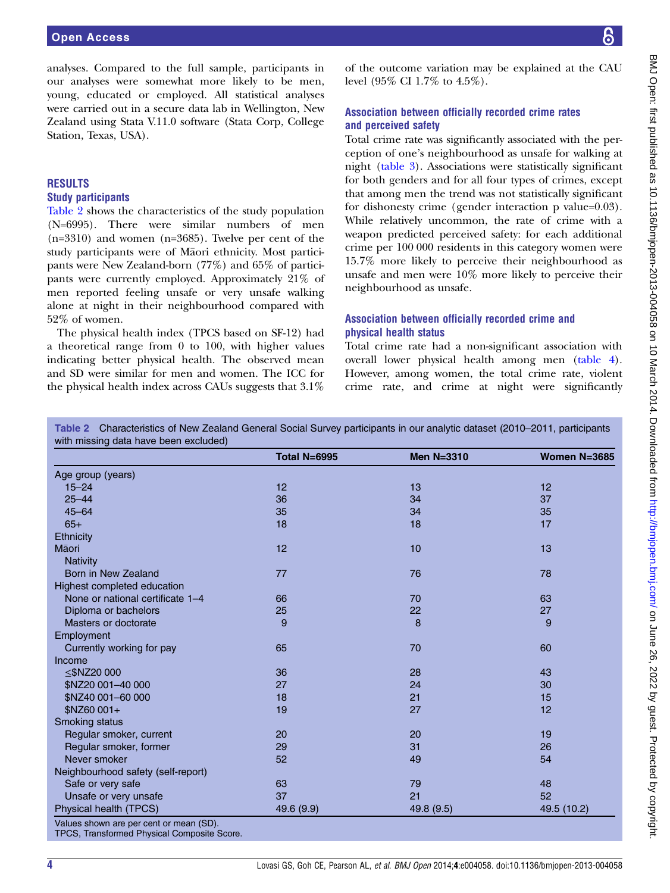analyses. Compared to the full sample, participants in our analyses were somewhat more likely to be men, young, educated or employed. All statistical analyses were carried out in a secure data lab in Wellington, New Zealand using Stata V.11.0 software (Stata Corp, College Station, Texas, USA).

#### RESULTS Study participants

Table 2 shows the characteristics of the study population (N=6995). There were similar numbers of men (n=3310) and women (n=3685). Twelve per cent of the study participants were of Maori ethnicity. Most participants were New Zealand-born (77%) and 65% of participants were currently employed. Approximately 21% of men reported feeling unsafe or very unsafe walking alone at night in their neighbourhood compared with 52% of women.

The physical health index (TPCS based on SF-12) had a theoretical range from 0 to 100, with higher values indicating better physical health. The observed mean and SD were similar for men and women. The ICC for the physical health index across CAUs suggests that 3.1%

of the outcome variation may be explained at the CAU level (95% CI 1.7% to 4.5%).

### Association between officially recorded crime rates and perceived safety

Total crime rate was significantly associated with the perception of one's neighbourhood as unsafe for walking at night ([table 3](#page-4-0)). Associations were statistically significant for both genders and for all four types of crimes, except that among men the trend was not statistically significant for dishonesty crime (gender interaction p value=0.03). While relatively uncommon, the rate of crime with a weapon predicted perceived safety: for each additional crime per 100 000 residents in this category women were 15.7% more likely to perceive their neighbourhood as unsafe and men were 10% more likely to perceive their neighbourhood as unsafe.

# Association between officially recorded crime and physical health status

Total crime rate had a non-significant association with overall lower physical health among men ([table 4\)](#page-4-0). However, among women, the total crime rate, violent crime rate, and crime at night were significantly

Table 2 Characteristics of New Zealand General Social Survey participants in our analytic dataset (2010–2011, participants with missing data have been excluded)

|                                    | <b>Total N=6995</b> | Men $N=3310$ | <b>Women N=3685</b> |  |
|------------------------------------|---------------------|--------------|---------------------|--|
| Age group (years)                  |                     |              |                     |  |
| $15 - 24$                          | 12                  | 13           | 12                  |  |
| $25 - 44$                          | 36                  | 34           | 37                  |  |
| $45 - 64$                          | 35                  | 34           | 35                  |  |
| $65+$                              | 18                  | 18           | 17                  |  |
| Ethnicity                          |                     |              |                     |  |
| Māori                              | 12                  | 10           | 13                  |  |
| <b>Nativity</b>                    |                     |              |                     |  |
| Born in New Zealand                | 77                  | 76           | 78                  |  |
| Highest completed education        |                     |              |                     |  |
| None or national certificate 1-4   | 66                  | 70           | 63                  |  |
| Diploma or bachelors               | 25                  | 22           | 27                  |  |
| Masters or doctorate               | 9                   | 8            | 9                   |  |
| Employment                         |                     |              |                     |  |
| Currently working for pay          | 65                  | 70           | 60                  |  |
| Income                             |                     |              |                     |  |
| ≤\$NZ20 000                        | 36                  | 28           | 43                  |  |
| \$NZ20 001-40 000                  | 27                  | 24           | 30                  |  |
| \$NZ40 001-60 000                  | 18                  | 21           | 15                  |  |
| \$NZ60 001+                        | 19                  | 27           | 12                  |  |
| Smoking status                     |                     |              |                     |  |
| Regular smoker, current            | 20                  | 20           | 19                  |  |
| Regular smoker, former             | 29                  | 31           | 26                  |  |
| Never smoker                       | 52                  | 49           | 54                  |  |
| Neighbourhood safety (self-report) |                     |              |                     |  |
| Safe or very safe                  | 63                  | 79           | 48                  |  |
| Unsafe or very unsafe              | 37                  | 21           | 52                  |  |
| Physical health (TPCS)             | 49.6 (9.9)          | 49.8 (9.5)   | 49.5 (10.2)         |  |

TPCS, Transformed Physical Composite Score.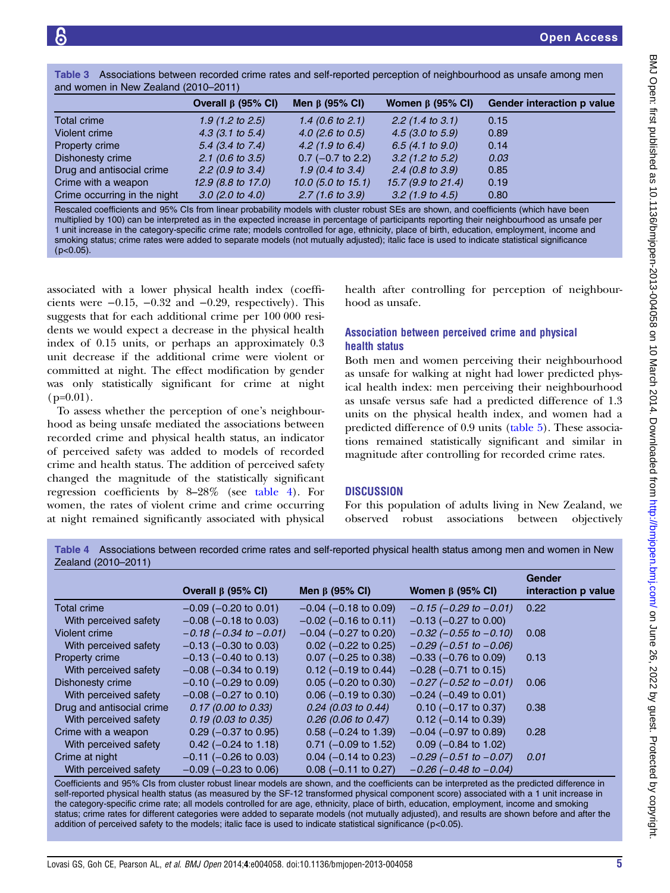<span id="page-4-0"></span>Table 3 Associations between recorded crime rates and self-reported perception of neighbourhood as unsafe among men and women in New Zealand (2010–2011)

|                              | Overall $\beta$ (95% CI)    | Men $\beta$ (95% CI)          | Women $\beta$ (95% CI)     | Gender interaction p value |
|------------------------------|-----------------------------|-------------------------------|----------------------------|----------------------------|
| <b>Total crime</b>           | $1.9(1.2 \text{ to } 2.5)$  | 1.4 $(0.6 \text{ to } 2.1)$   | $2.2$ (1.4 to 3.1)         | 0.15                       |
| Violent crime                | $4.3$ (3.1 to 5.4)          | $4.0$ (2.6 to 0.5)            | $4.5$ (3.0 to 5.9)         | 0.89                       |
| Property crime               | $5.4$ (3.4 to 7.4)          | $4.2$ (1.9 to 6.4)            | $6.5(4.1 \text{ to } 9.0)$ | 0.14                       |
| Dishonesty crime             | 2.1 $(0.6 \text{ to } 3.5)$ | $0.7$ (-0.7 to 2.2)           | $3.2$ (1.2 to 5.2)         | 0.03                       |
| Drug and antisocial crime    | $2.2$ (0.9 to 3.4)          | 1.9 $(0.4 \text{ to } 3.4)$   | $2.4$ (0.8 to 3.9)         | 0.85                       |
| Crime with a weapon          | 12.9 (8.8 to 17.0)          | 10.0 $(5.0 \text{ to } 15.1)$ | 15.7 (9.9 to 21.4)         | 0.19                       |
| Crime occurring in the night | $3.0$ (2.0 to 4.0)          | $2.7(1.6 \text{ to } 3.9)$    | $3.2$ (1.9 to 4.5)         | 0.80                       |

Rescaled coefficients and 95% CIs from linear probability models with cluster robust SEs are shown, and coefficients (which have been multiplied by 100) can be interpreted as in the expected increase in percentage of participants reporting their neighbourhood as unsafe per 1 unit increase in the category-specific crime rate; models controlled for age, ethnicity, place of birth, education, employment, income and smoking status; crime rates were added to separate models (not mutually adjusted); italic face is used to indicate statistical significance  $(p<0.05)$ .

associated with a lower physical health index (coefficients were  $-0.15$ ,  $-0.32$  and  $-0.29$ , respectively). This suggests that for each additional crime per 100 000 residents we would expect a decrease in the physical health index of 0.15 units, or perhaps an approximately 0.3 unit decrease if the additional crime were violent or committed at night. The effect modification by gender was only statistically significant for crime at night  $(p=0.01)$ .

To assess whether the perception of one's neighbourhood as being unsafe mediated the associations between recorded crime and physical health status, an indicator of perceived safety was added to models of recorded crime and health status. The addition of perceived safety changed the magnitude of the statistically significant regression coefficients by 8–28% (see table 4). For women, the rates of violent crime and crime occurring at night remained significantly associated with physical

health after controlling for perception of neighbourhood as unsafe.

# Association between perceived crime and physical health status

Both men and women perceiving their neighbourhood as unsafe for walking at night had lower predicted physical health index: men perceiving their neighbourhood as unsafe versus safe had a predicted difference of 1.3 units on the physical health index, and women had a predicted difference of 0.9 units ([table 5\)](#page-5-0). These associations remained statistically significant and similar in magnitude after controlling for recorded crime rates.

# **DISCUSSION**

For this population of adults living in New Zealand, we observed robust associations between objectively

Table 4 Associations between recorded crime rates and self-reported physical health status among men and women in New Zealand (2010–2011)

|                           | Overall $\beta$ (95% CI)       | Men $\beta$ (95% CI)       | Women $\beta$ (95% CI)         | Gender<br>interaction p value |
|---------------------------|--------------------------------|----------------------------|--------------------------------|-------------------------------|
| <b>Total crime</b>        | $-0.09$ ( $-0.20$ to 0.01)     | $-0.04$ ( $-0.18$ to 0.09) | $-0.15$ ( $-0.29$ to $-0.01$ ) | 0.22                          |
| With perceived safety     | $-0.08$ ( $-0.18$ to 0.03)     | $-0.02$ ( $-0.16$ to 0.11) | $-0.13$ ( $-0.27$ to 0.00)     |                               |
| Violent crime             | $-0.18$ ( $-0.34$ to $-0.01$ ) | $-0.04$ ( $-0.27$ to 0.20) | $-0.32$ ( $-0.55$ to $-0.10$ ) | 0.08                          |
| With perceived safety     | $-0.13$ ( $-0.30$ to 0.03)     | $0.02$ (-0.22 to 0.25)     | $-0.29$ ( $-0.51$ to $-0.06$ ) |                               |
| Property crime            | $-0.13$ ( $-0.40$ to 0.13)     | $0.07$ (-0.25 to 0.38)     | $-0.33$ ( $-0.76$ to 0.09)     | 0.13                          |
| With perceived safety     | $-0.08$ ( $-0.34$ to 0.19)     | $0.12$ (-0.19 to 0.44)     | $-0.28$ ( $-0.71$ to 0.15)     |                               |
| Dishonesty crime          | $-0.10$ ( $-0.29$ to 0.09)     | $0.05$ (-0.20 to 0.30)     | $-0.27$ ( $-0.52$ to $-0.01$ ) | 0.06                          |
| With perceived safety     | $-0.08$ ( $-0.27$ to 0.10)     | $0.06$ (-0.19 to 0.30)     | $-0.24$ ( $-0.49$ to 0.01)     |                               |
| Drug and antisocial crime | $0.17$ (0.00 to 0.33)          | $0.24$ (0.03 to 0.44)      | $0.10$ (-0.17 to 0.37)         | 0.38                          |
| With perceived safety     | $0.19$ (0.03 to 0.35)          | $0.26$ (0.06 to 0.47)      | $0.12$ (-0.14 to 0.39)         |                               |
| Crime with a weapon       | $0.29$ (-0.37 to 0.95)         | $0.58$ (-0.24 to 1.39)     | $-0.04$ ( $-0.97$ to 0.89)     | 0.28                          |
| With perceived safety     | $0.42$ (-0.24 to 1.18)         | $0.71$ (-0.09 to 1.52)     | $0.09$ (-0.84 to 1.02)         |                               |
| Crime at night            | $-0.11$ ( $-0.26$ to 0.03)     | $0.04$ (-0.14 to 0.23)     | $-0.29$ ( $-0.51$ to $-0.07$ ) | 0.01                          |
| With perceived safety     | $-0.09$ ( $-0.23$ to 0.06)     | $0.08$ (-0.11 to 0.27)     | $-0.26$ ( $-0.48$ to $-0.04$ ) |                               |

Coefficients and 95% CIs from cluster robust linear models are shown, and the coefficients can be interpreted as the predicted difference in self-reported physical health status (as measured by the SF-12 transformed physical component score) associated with a 1 unit increase in the category-specific crime rate; all models controlled for are age, ethnicity, place of birth, education, employment, income and smoking status; crime rates for different categories were added to separate models (not mutually adjusted), and results are shown before and after the addition of perceived safety to the models; italic face is used to indicate statistical significance (p<0.05).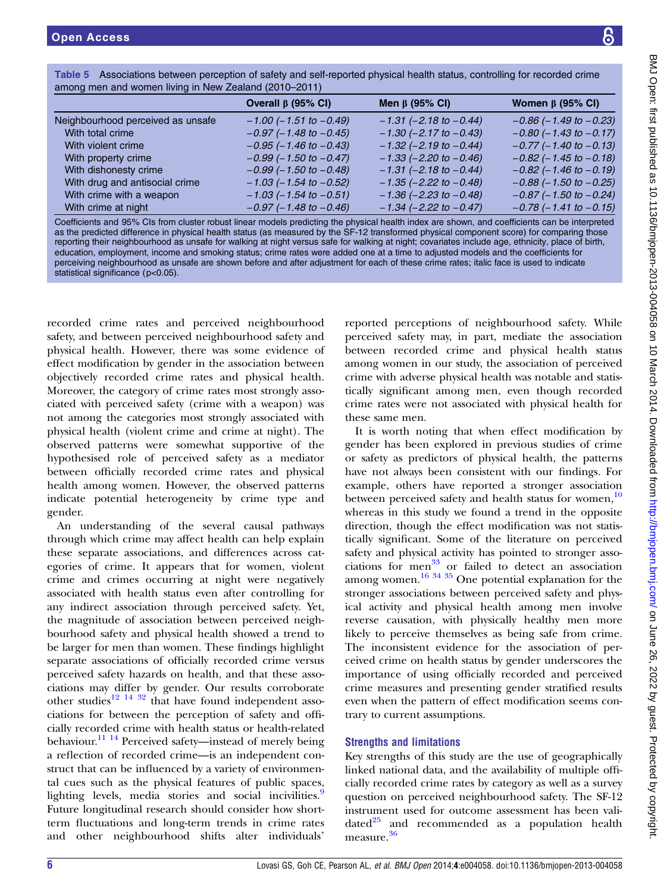|                                   | Overall $\beta$ (95% CI)       | Men $\beta$ (95% CI)           | Women $\beta$ (95% CI)         |
|-----------------------------------|--------------------------------|--------------------------------|--------------------------------|
| Neighbourhood perceived as unsafe | $-1.00$ ( $-1.51$ to $-0.49$ ) | $-1.31$ (-2.18 to $-0.44$ )    | $-0.86$ ( $-1.49$ to $-0.23$ ) |
| With total crime                  | $-0.97$ ( $-1.48$ to $-0.45$ ) | $-1.30$ (-2.17 to $-0.43$ )    | $-0.80$ ( $-1.43$ to $-0.17$ ) |
| With violent crime                | $-0.95$ ( $-1.46$ to $-0.43$ ) | $-1.32$ (-2.19 to $-0.44$ )    | $-0.77$ ( $-1.40$ to $-0.13$ ) |
| With property crime               | $-0.99$ ( $-1.50$ to $-0.47$ ) | $-1.33$ ( $-2.20$ to $-0.46$ ) | $-0.82$ ( $-1.45$ to $-0.18$ ) |
| With dishonesty crime             | $-0.99$ ( $-1.50$ to $-0.48$ ) | $-1.31$ (-2.18 to $-0.44$ )    | $-0.82$ ( $-1.46$ to $-0.19$ ) |
| With drug and antisocial crime    | $-1.03$ ( $-1.54$ to $-0.52$ ) | $-1.35$ ( $-2.22$ to $-0.48$ ) | $-0.88$ ( $-1.50$ to $-0.25$ ) |
| With crime with a weapon          | $-1.03$ ( $-1.54$ to $-0.51$ ) | $-1.36$ ( $-2.23$ to $-0.48$ ) | $-0.87$ ( $-1.50$ to $-0.24$ ) |
| With crime at night               | $-0.97$ ( $-1.48$ to $-0.46$ ) | $-1.34$ ( $-2.22$ to $-0.47$ ) | $-0.78$ ( $-1.41$ to $-0.15$ ) |

<span id="page-5-0"></span>Table 5 Associations between perception of safety and self-reported physical health status, controlling for recorded crime

x are snown, and coefficients can be interpreted as the predicted difference in physical health status (as measured by the SF-12 transformed physical component score) for comparing those reporting their neighbourhood as unsafe for walking at night versus safe for walking at night; covariates include age, ethnicity, place of birth, education, employment, income and smoking status; crime rates were added one at a time to adjusted models and the coefficients for perceiving neighbourhood as unsafe are shown before and after adjustment for each of these crime rates; italic face is used to indicate statistical significance (p<0.05).

recorded crime rates and perceived neighbourhood safety, and between perceived neighbourhood safety and physical health. However, there was some evidence of effect modification by gender in the association between objectively recorded crime rates and physical health. Moreover, the category of crime rates most strongly associated with perceived safety (crime with a weapon) was not among the categories most strongly associated with physical health (violent crime and crime at night). The observed patterns were somewhat supportive of the hypothesised role of perceived safety as a mediator between officially recorded crime rates and physical health among women. However, the observed patterns indicate potential heterogeneity by crime type and gender.

An understanding of the several causal pathways through which crime may affect health can help explain these separate associations, and differences across categories of crime. It appears that for women, violent crime and crimes occurring at night were negatively associated with health status even after controlling for any indirect association through perceived safety. Yet, the magnitude of association between perceived neighbourhood safety and physical health showed a trend to be larger for men than women. These findings highlight separate associations of officially recorded crime versus perceived safety hazards on health, and that these associations may differ by gender. Our results corroborate other studies<sup>[12 14](#page-6-0) [32](#page-7-0)</sup> that have found independent associations for between the perception of safety and officially recorded crime with health status or health-related behaviour.<sup>[11 14](#page-6-0)</sup> Perceived safety—instead of merely being a reflection of recorded crime—is an independent construct that can be influenced by a variety of environmental cues such as the physical features of public spaces, lighting levels, media stories and social incivilities.<sup>[9](#page-6-0)</sup> Future longitudinal research should consider how shortterm fluctuations and long-term trends in crime rates and other neighbourhood shifts alter individuals'

reported perceptions of neighbourhood safety. While perceived safety may, in part, mediate the association between recorded crime and physical health status among women in our study, the association of perceived crime with adverse physical health was notable and statistically significant among men, even though recorded crime rates were not associated with physical health for these same men.

It is worth noting that when effect modification by gender has been explored in previous studies of crime or safety as predictors of physical health, the patterns have not always been consistent with our findings. For example, others have reported a stronger association between perceived safety and health status for women,<sup>[10](#page-6-0)</sup> whereas in this study we found a trend in the opposite direction, though the effect modification was not statistically significant. Some of the literature on perceived safety and physical activity has pointed to stronger asso-ciations for men<sup>[33](#page-7-0)</sup> or failed to detect an association among women.<sup>[16](#page-6-0) [34 35](#page-7-0)</sup> One potential explanation for the stronger associations between perceived safety and physical activity and physical health among men involve reverse causation, with physically healthy men more likely to perceive themselves as being safe from crime. The inconsistent evidence for the association of perceived crime on health status by gender underscores the importance of using officially recorded and perceived crime measures and presenting gender stratified results even when the pattern of effect modification seems contrary to current assumptions.

#### Strengths and limitations

Key strengths of this study are the use of geographically linked national data, and the availability of multiple officially recorded crime rates by category as well as a survey question on perceived neighbourhood safety. The SF-12 instrument used for outcome assessment has been validated $^{25}$  and recommended as a population health measure.<sup>[36](#page-7-0)</sup>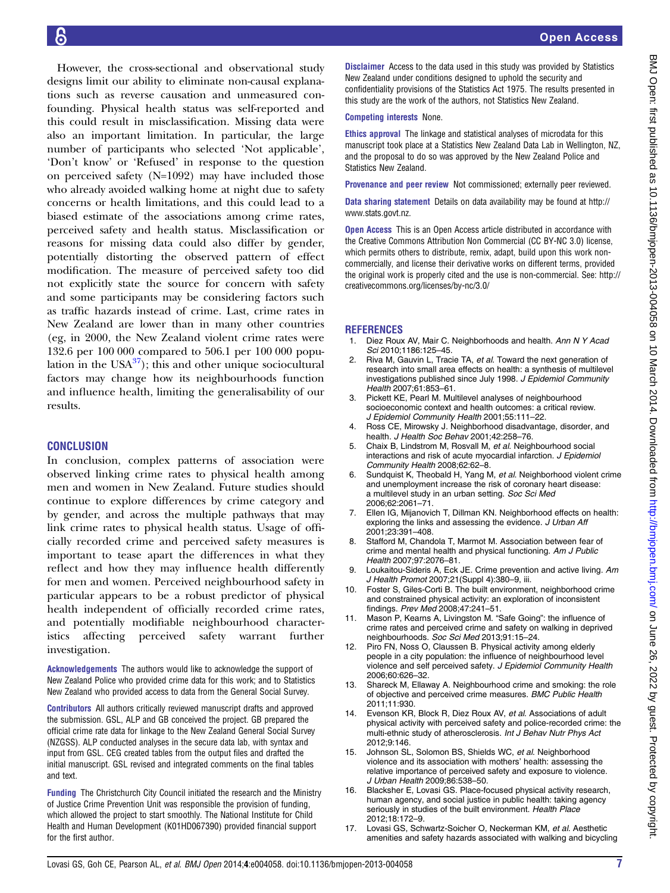designs limit our ability to eliminate non-causal explanations such as reverse causation and unmeasured confounding. Physical health status was self-reported and this could result in misclassification. Missing data were also an important limitation. In particular, the large number of participants who selected 'Not applicable', 'Don't know' or 'Refused' in response to the question on perceived safety (N=1092) may have included those who already avoided walking home at night due to safety concerns or health limitations, and this could lead to a biased estimate of the associations among crime rates, perceived safety and health status. Misclassification or reasons for missing data could also differ by gender, potentially distorting the observed pattern of effect modification. The measure of perceived safety too did not explicitly state the source for concern with safety and some participants may be considering factors such as traffic hazards instead of crime. Last, crime rates in New Zealand are lower than in many other countries (eg, in 2000, the New Zealand violent crime rates were 132.6 per 100 000 compared to 506.1 per 100 000 population in the  $USA^{37}$  $USA^{37}$  $USA^{37}$ ; this and other unique sociocultural factors may change how its neighbourhoods function and influence health, limiting the generalisability of our results.

<span id="page-6-0"></span>However, the cross-sectional and observational study

#### **CONCLUSION**

In conclusion, complex patterns of association were observed linking crime rates to physical health among men and women in New Zealand. Future studies should continue to explore differences by crime category and by gender, and across the multiple pathways that may link crime rates to physical health status. Usage of officially recorded crime and perceived safety measures is important to tease apart the differences in what they reflect and how they may influence health differently for men and women. Perceived neighbourhood safety in particular appears to be a robust predictor of physical health independent of officially recorded crime rates, and potentially modifiable neighbourhood characteristics affecting perceived safety warrant further investigation.

Acknowledgements The authors would like to acknowledge the support of New Zealand Police who provided crime data for this work; and to Statistics New Zealand who provided access to data from the General Social Survey.

Contributors All authors critically reviewed manuscript drafts and approved the submission. GSL, ALP and GB conceived the project. GB prepared the official crime rate data for linkage to the New Zealand General Social Survey (NZGSS). ALP conducted analyses in the secure data lab, with syntax and input from GSL. CEG created tables from the output files and drafted the initial manuscript. GSL revised and integrated comments on the final tables and text.

Funding The Christchurch City Council initiated the research and the Ministry of Justice Crime Prevention Unit was responsible the provision of funding, which allowed the project to start smoothly. The National Institute for Child Health and Human Development (K01HD067390) provided financial support for the first author.

Disclaimer Access to the data used in this study was provided by Statistics New Zealand under conditions designed to uphold the security and confidentiality provisions of the Statistics Act 1975. The results presented in this study are the work of the authors, not Statistics New Zealand.

#### Competing interests None.

Ethics approval The linkage and statistical analyses of microdata for this manuscript took place at a Statistics New Zealand Data Lab in Wellington, NZ, and the proposal to do so was approved by the New Zealand Police and Statistics New Zealand.

Provenance and peer review Not commissioned; externally peer reviewed.

Data sharing statement Details on data availability may be found at [http://](http://www.stats.govt.nz) [www.stats.govt.nz.](http://www.stats.govt.nz)

**Open Access** This is an Open Access article distributed in accordance with the Creative Commons Attribution Non Commercial (CC BY-NC 3.0) license, which permits others to distribute, remix, adapt, build upon this work noncommercially, and license their derivative works on different terms, provided the original work is properly cited and the use is non-commercial. See: [http://](http://creativecommons.org/licenses/by-nc/3.0/) [creativecommons.org/licenses/by-nc/3.0/](http://creativecommons.org/licenses/by-nc/3.0/)

#### **REFERENCES**

- Diez Roux AV, Mair C. Neighborhoods and health. Ann N Y Acad Sci 2010;1186:125–45.
- Riva M, Gauvin L, Tracie TA, et al. Toward the next generation of research into small area effects on health: a synthesis of multilevel investigations published since July 1998. J Epidemiol Community Health 2007;61:853–61.
- 3. Pickett KE, Pearl M. Multilevel analyses of neighbourhood socioeconomic context and health outcomes: a critical review. J Epidemiol Community Health 2001;55:111–22.
- 4. Ross CE, Mirowsky J. Neighborhood disadvantage, disorder, and health. J Health Soc Behav 2001;42:258–76.
- 5. Chaix B, Lindstrom M, Rosvall M, et al. Neighbourhood social interactions and risk of acute myocardial infarction. J Epidemiol Community Health 2008;62:62–8.
- 6. Sundquist K, Theobald H, Yang M, et al. Neighborhood violent crime and unemployment increase the risk of coronary heart disease: a multilevel study in an urban setting. Soc Sci Med 2006;62:2061–71.
- 7. Ellen IG, Mijanovich T, Dillman KN. Neighborhood effects on health: exploring the links and assessing the evidence. J Urban Aff 2001;23:391–408.
- 8. Stafford M, Chandola T, Marmot M. Association between fear of crime and mental health and physical functioning. Am J Public Health 2007;97:2076–81.
- 9. Loukaitou-Sideris A, Eck JE. Crime prevention and active living. Am J Health Promot 2007;21(Suppl 4):380–9, iii.
- 10. Foster S, Giles-Corti B. The built environment, neighborhood crime and constrained physical activity: an exploration of inconsistent findings. Prev Med 2008;47:241–51.
- 11. Mason P, Kearns A, Livingston M. "Safe Going": the influence of crime rates and perceived crime and safety on walking in deprived neighbourhoods. Soc Sci Med 2013;91:15–24.
- 12. Piro FN, Noss O, Claussen B. Physical activity among elderly people in a city population: the influence of neighbourhood level violence and self perceived safety. J Epidemiol Community Health 2006;60:626–32.
- 13. Shareck M, Ellaway A. Neighbourhood crime and smoking: the role of objective and perceived crime measures. BMC Public Health 2011;11:930.
- Evenson KR, Block R, Diez Roux AV, et al. Associations of adult physical activity with perceived safety and police-recorded crime: the multi-ethnic study of atherosclerosis. Int J Behav Nutr Phys Act 2012;9:146.
- 15. Johnson SL, Solomon BS, Shields WC, et al. Neighborhood violence and its association with mothers' health: assessing the relative importance of perceived safety and exposure to violence. J Urban Health 2009;86:538–50.
- Blacksher E, Lovasi GS. Place-focused physical activity research, human agency, and social justice in public health: taking agency seriously in studies of the built environment. Health Place 2012;18:172–9.
- 17. Lovasi GS, Schwartz-Soicher O, Neckerman KM, et al. Aesthetic amenities and safety hazards associated with walking and bicycling